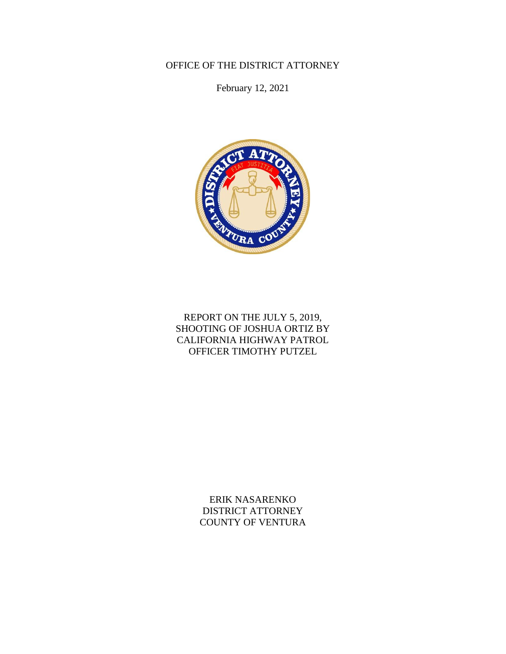## OFFICE OF THE DISTRICT ATTORNEY

February 12, 2021



## REPORT ON THE JULY 5, 2019, SHOOTING OF JOSHUA ORTIZ BY CALIFORNIA HIGHWAY PATROL OFFICER TIMOTHY PUTZEL

ERIK NASARENKO DISTRICT ATTORNEY COUNTY OF VENTURA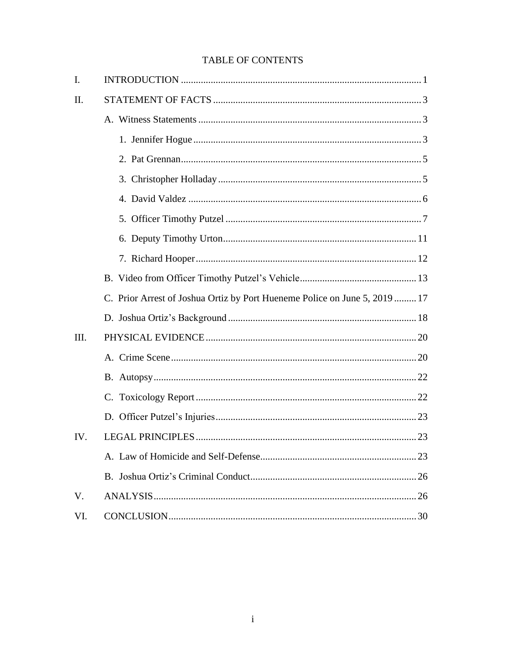## **TABLE OF CONTENTS**

| I.   |                                                                            |  |
|------|----------------------------------------------------------------------------|--|
| II.  |                                                                            |  |
|      |                                                                            |  |
|      |                                                                            |  |
|      |                                                                            |  |
|      |                                                                            |  |
|      |                                                                            |  |
|      |                                                                            |  |
|      |                                                                            |  |
|      |                                                                            |  |
|      |                                                                            |  |
|      | C. Prior Arrest of Joshua Ortiz by Port Hueneme Police on June 5, 2019  17 |  |
|      |                                                                            |  |
| III. |                                                                            |  |
|      |                                                                            |  |
|      |                                                                            |  |
|      |                                                                            |  |
|      |                                                                            |  |
| IV.  |                                                                            |  |
|      |                                                                            |  |
|      |                                                                            |  |
| V.   |                                                                            |  |
| VI.  |                                                                            |  |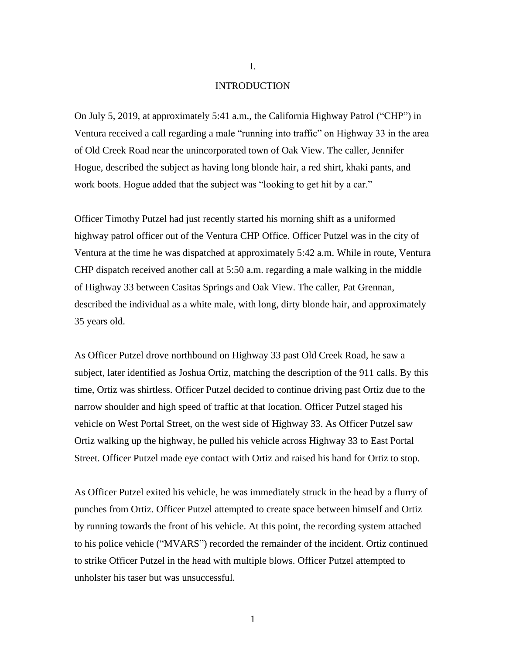#### INTRODUCTION

I.

On July 5, 2019, at approximately 5:41 a.m., the California Highway Patrol ("CHP") in Ventura received a call regarding a male "running into traffic" on Highway 33 in the area of Old Creek Road near the unincorporated town of Oak View. The caller, Jennifer Hogue, described the subject as having long blonde hair, a red shirt, khaki pants, and work boots. Hogue added that the subject was "looking to get hit by a car."

Officer Timothy Putzel had just recently started his morning shift as a uniformed highway patrol officer out of the Ventura CHP Office. Officer Putzel was in the city of Ventura at the time he was dispatched at approximately 5:42 a.m. While in route, Ventura CHP dispatch received another call at 5:50 a.m. regarding a male walking in the middle of Highway 33 between Casitas Springs and Oak View. The caller, Pat Grennan, described the individual as a white male, with long, dirty blonde hair, and approximately 35 years old.

As Officer Putzel drove northbound on Highway 33 past Old Creek Road, he saw a subject, later identified as Joshua Ortiz, matching the description of the 911 calls. By this time, Ortiz was shirtless. Officer Putzel decided to continue driving past Ortiz due to the narrow shoulder and high speed of traffic at that location. Officer Putzel staged his vehicle on West Portal Street, on the west side of Highway 33. As Officer Putzel saw Ortiz walking up the highway, he pulled his vehicle across Highway 33 to East Portal Street. Officer Putzel made eye contact with Ortiz and raised his hand for Ortiz to stop.

As Officer Putzel exited his vehicle, he was immediately struck in the head by a flurry of punches from Ortiz. Officer Putzel attempted to create space between himself and Ortiz by running towards the front of his vehicle. At this point, the recording system attached to his police vehicle ("MVARS") recorded the remainder of the incident. Ortiz continued to strike Officer Putzel in the head with multiple blows. Officer Putzel attempted to unholster his taser but was unsuccessful.

1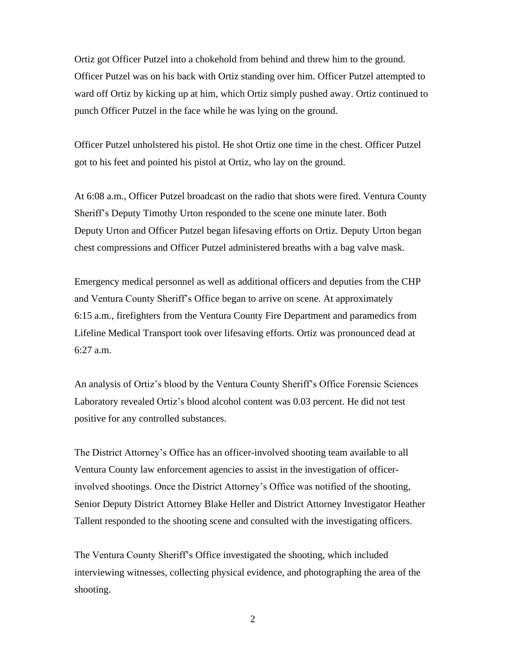Ortiz got Officer Putzel into a chokehold from behind and threw him to the ground. Officer Putzel was on his back with Ortiz standing over him. Officer Putzel attempted to ward off Ortiz by kicking up at him, which Ortiz simply pushed away. Ortiz continued to punch Officer Putzel in the face while he was lying on the ground.

Officer Putzel unholstered his pistol. He shot Ortiz one time in the chest. Officer Putzel got to his feet and pointed his pistol at Ortiz, who lay on the ground.

At 6:08 a.m., Officer Putzel broadcast on the radio that shots were fired. Ventura County Sheriff's Deputy Timothy Urton responded to the scene one minute later. Both Deputy Urton and Officer Putzel began lifesaving efforts on Ortiz. Deputy Urton began chest compressions and Officer Putzel administered breaths with a bag valve mask.

Emergency medical personnel as well as additional officers and deputies from the CHP and Ventura County Sheriff's Office began to arrive on scene. At approximately 6:15 a.m., firefighters from the Ventura County Fire Department and paramedics from Lifeline Medical Transport took over lifesaving efforts. Ortiz was pronounced dead at 6:27 a.m.

An analysis of Ortiz's blood by the Ventura County Sheriff's Office Forensic Sciences Laboratory revealed Ortiz's blood alcohol content was 0.03 percent. He did not test positive for any controlled substances.

The District Attorney's Office has an officer-involved shooting team available to all Ventura County law enforcement agencies to assist in the investigation of officerinvolved shootings. Once the District Attorney's Office was notified of the shooting, Senior Deputy District Attorney Blake Heller and District Attorney Investigator Heather Tallent responded to the shooting scene and consulted with the investigating officers.

The Ventura County Sheriff's Office investigated the shooting, which included interviewing witnesses, collecting physical evidence, and photographing the area of the shooting.

2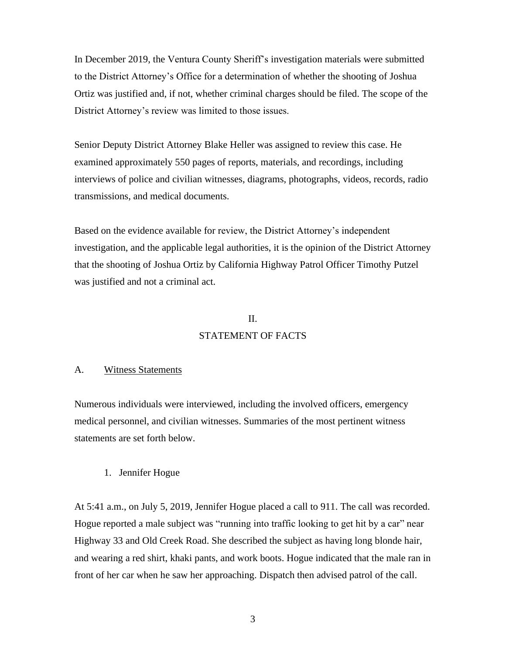In December 2019, the Ventura County Sheriff's investigation materials were submitted to the District Attorney's Office for a determination of whether the shooting of Joshua Ortiz was justified and, if not, whether criminal charges should be filed. The scope of the District Attorney's review was limited to those issues.

Senior Deputy District Attorney Blake Heller was assigned to review this case. He examined approximately 550 pages of reports, materials, and recordings, including interviews of police and civilian witnesses, diagrams, photographs, videos, records, radio transmissions, and medical documents.

Based on the evidence available for review, the District Attorney's independent investigation, and the applicable legal authorities, it is the opinion of the District Attorney that the shooting of Joshua Ortiz by California Highway Patrol Officer Timothy Putzel was justified and not a criminal act.

# II. STATEMENT OF FACTS

### A. Witness Statements

Numerous individuals were interviewed, including the involved officers, emergency medical personnel, and civilian witnesses. Summaries of the most pertinent witness statements are set forth below.

### 1. Jennifer Hogue

At 5:41 a.m., on July 5, 2019, Jennifer Hogue placed a call to 911. The call was recorded. Hogue reported a male subject was "running into traffic looking to get hit by a car" near Highway 33 and Old Creek Road. She described the subject as having long blonde hair, and wearing a red shirt, khaki pants, and work boots. Hogue indicated that the male ran in front of her car when he saw her approaching. Dispatch then advised patrol of the call.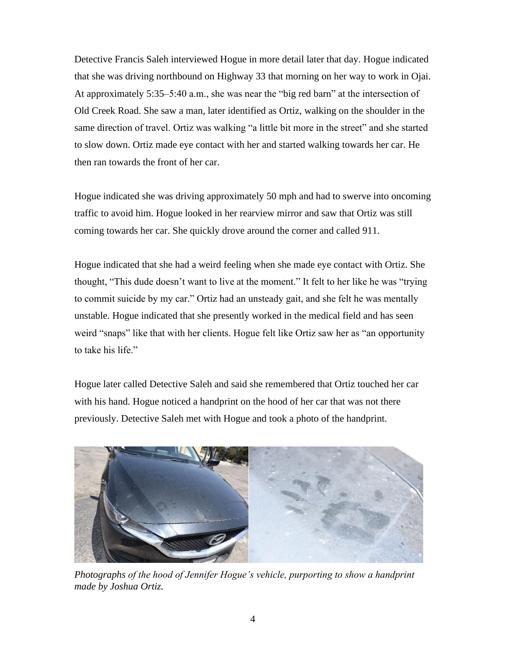Detective Francis Saleh interviewed Hogue in more detail later that day. Hogue indicated that she was driving northbound on Highway 33 that morning on her way to work in Ojai. At approximately 5:35–5:40 a.m., she was near the "big red barn" at the intersection of Old Creek Road. She saw a man, later identified as Ortiz, walking on the shoulder in the same direction of travel. Ortiz was walking "a little bit more in the street" and she started to slow down. Ortiz made eye contact with her and started walking towards her car. He then ran towards the front of her car.

Hogue indicated she was driving approximately 50 mph and had to swerve into oncoming traffic to avoid him. Hogue looked in her rearview mirror and saw that Ortiz was still coming towards her car. She quickly drove around the corner and called 911.

Hogue indicated that she had a weird feeling when she made eye contact with Ortiz. She thought, "This dude doesn't want to live at the moment." It felt to her like he was "trying to commit suicide by my car." Ortiz had an unsteady gait, and she felt he was mentally unstable. Hogue indicated that she presently worked in the medical field and has seen weird "snaps" like that with her clients. Hogue felt like Ortiz saw her as "an opportunity to take his life."

Hogue later called Detective Saleh and said she remembered that Ortiz touched her car with his hand. Hogue noticed a handprint on the hood of her car that was not there previously. Detective Saleh met with Hogue and took a photo of the handprint.



*Photographs of the hood of Jennifer Hogue's vehicle, purporting to show a handprint made by Joshua Ortiz.*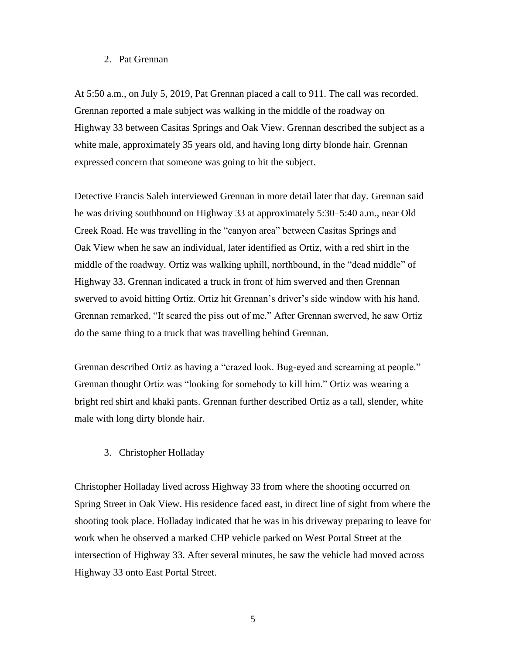### 2. Pat Grennan

At 5:50 a.m., on July 5, 2019, Pat Grennan placed a call to 911. The call was recorded. Grennan reported a male subject was walking in the middle of the roadway on Highway 33 between Casitas Springs and Oak View. Grennan described the subject as a white male, approximately 35 years old, and having long dirty blonde hair. Grennan expressed concern that someone was going to hit the subject.

Detective Francis Saleh interviewed Grennan in more detail later that day. Grennan said he was driving southbound on Highway 33 at approximately 5:30–5:40 a.m., near Old Creek Road. He was travelling in the "canyon area" between Casitas Springs and Oak View when he saw an individual, later identified as Ortiz, with a red shirt in the middle of the roadway. Ortiz was walking uphill, northbound, in the "dead middle" of Highway 33. Grennan indicated a truck in front of him swerved and then Grennan swerved to avoid hitting Ortiz. Ortiz hit Grennan's driver's side window with his hand. Grennan remarked, "It scared the piss out of me." After Grennan swerved, he saw Ortiz do the same thing to a truck that was travelling behind Grennan.

Grennan described Ortiz as having a "crazed look. Bug-eyed and screaming at people." Grennan thought Ortiz was "looking for somebody to kill him." Ortiz was wearing a bright red shirt and khaki pants. Grennan further described Ortiz as a tall, slender, white male with long dirty blonde hair.

## 3. Christopher Holladay

Christopher Holladay lived across Highway 33 from where the shooting occurred on Spring Street in Oak View. His residence faced east, in direct line of sight from where the shooting took place. Holladay indicated that he was in his driveway preparing to leave for work when he observed a marked CHP vehicle parked on West Portal Street at the intersection of Highway 33. After several minutes, he saw the vehicle had moved across Highway 33 onto East Portal Street.

5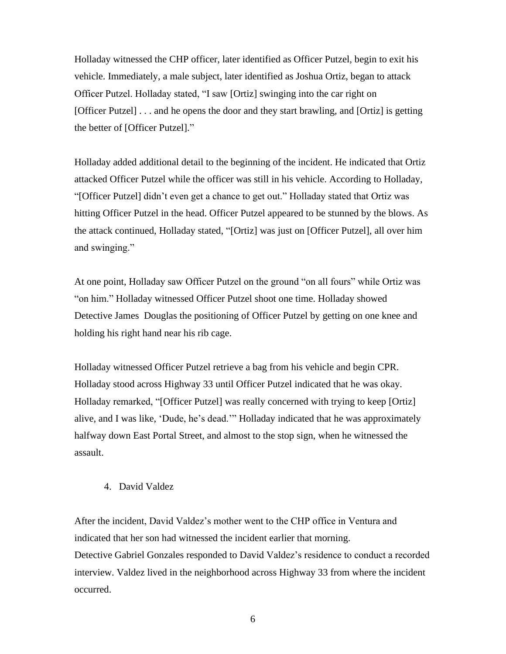Holladay witnessed the CHP officer, later identified as Officer Putzel, begin to exit his vehicle. Immediately, a male subject, later identified as Joshua Ortiz, began to attack Officer Putzel. Holladay stated, "I saw [Ortiz] swinging into the car right on [Officer Putzel] . . . and he opens the door and they start brawling, and [Ortiz] is getting the better of [Officer Putzel]."

Holladay added additional detail to the beginning of the incident. He indicated that Ortiz attacked Officer Putzel while the officer was still in his vehicle. According to Holladay, "[Officer Putzel] didn't even get a chance to get out." Holladay stated that Ortiz was hitting Officer Putzel in the head. Officer Putzel appeared to be stunned by the blows. As the attack continued, Holladay stated, "[Ortiz] was just on [Officer Putzel], all over him and swinging."

At one point, Holladay saw Officer Putzel on the ground "on all fours" while Ortiz was "on him." Holladay witnessed Officer Putzel shoot one time. Holladay showed Detective James Douglas the positioning of Officer Putzel by getting on one knee and holding his right hand near his rib cage.

Holladay witnessed Officer Putzel retrieve a bag from his vehicle and begin CPR. Holladay stood across Highway 33 until Officer Putzel indicated that he was okay. Holladay remarked, "[Officer Putzel] was really concerned with trying to keep [Ortiz] alive, and I was like, 'Dude, he's dead.'" Holladay indicated that he was approximately halfway down East Portal Street, and almost to the stop sign, when he witnessed the assault.

### 4. David Valdez

After the incident, David Valdez's mother went to the CHP office in Ventura and indicated that her son had witnessed the incident earlier that morning. Detective Gabriel Gonzales responded to David Valdez's residence to conduct a recorded interview. Valdez lived in the neighborhood across Highway 33 from where the incident occurred.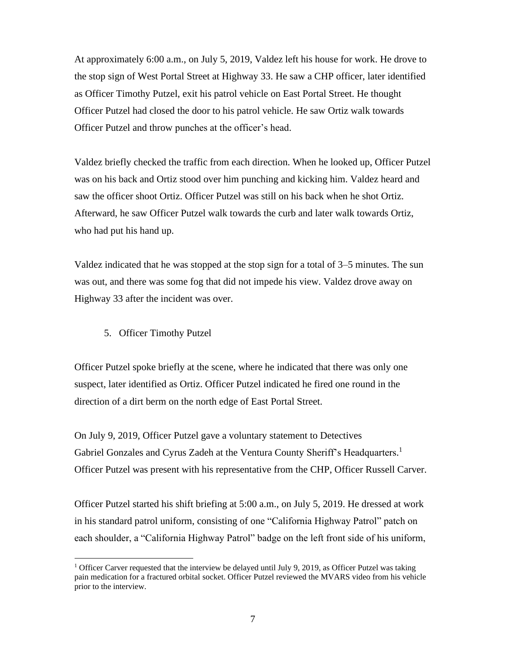At approximately 6:00 a.m., on July 5, 2019, Valdez left his house for work. He drove to the stop sign of West Portal Street at Highway 33. He saw a CHP officer, later identified as Officer Timothy Putzel, exit his patrol vehicle on East Portal Street. He thought Officer Putzel had closed the door to his patrol vehicle. He saw Ortiz walk towards Officer Putzel and throw punches at the officer's head.

Valdez briefly checked the traffic from each direction. When he looked up, Officer Putzel was on his back and Ortiz stood over him punching and kicking him. Valdez heard and saw the officer shoot Ortiz. Officer Putzel was still on his back when he shot Ortiz. Afterward, he saw Officer Putzel walk towards the curb and later walk towards Ortiz, who had put his hand up.

Valdez indicated that he was stopped at the stop sign for a total of 3–5 minutes. The sun was out, and there was some fog that did not impede his view. Valdez drove away on Highway 33 after the incident was over.

5. Officer Timothy Putzel

Officer Putzel spoke briefly at the scene, where he indicated that there was only one suspect, later identified as Ortiz. Officer Putzel indicated he fired one round in the direction of a dirt berm on the north edge of East Portal Street.

On July 9, 2019, Officer Putzel gave a voluntary statement to Detectives Gabriel Gonzales and Cyrus Zadeh at the Ventura County Sheriff's Headquarters.<sup>1</sup> Officer Putzel was present with his representative from the CHP, Officer Russell Carver.

Officer Putzel started his shift briefing at 5:00 a.m., on July 5, 2019. He dressed at work in his standard patrol uniform, consisting of one "California Highway Patrol" patch on each shoulder, a "California Highway Patrol" badge on the left front side of his uniform,

<sup>&</sup>lt;sup>1</sup> Officer Carver requested that the interview be delayed until July 9, 2019, as Officer Putzel was taking pain medication for a fractured orbital socket. Officer Putzel reviewed the MVARS video from his vehicle prior to the interview.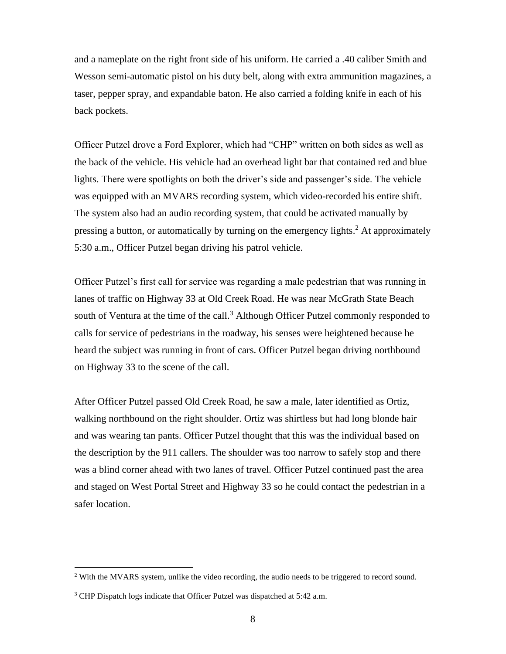and a nameplate on the right front side of his uniform. He carried a .40 caliber Smith and Wesson semi-automatic pistol on his duty belt, along with extra ammunition magazines, a taser, pepper spray, and expandable baton. He also carried a folding knife in each of his back pockets.

Officer Putzel drove a Ford Explorer, which had "CHP" written on both sides as well as the back of the vehicle. His vehicle had an overhead light bar that contained red and blue lights. There were spotlights on both the driver's side and passenger's side. The vehicle was equipped with an MVARS recording system, which video-recorded his entire shift. The system also had an audio recording system, that could be activated manually by pressing a button, or automatically by turning on the emergency lights.<sup>2</sup> At approximately 5:30 a.m., Officer Putzel began driving his patrol vehicle.

Officer Putzel's first call for service was regarding a male pedestrian that was running in lanes of traffic on Highway 33 at Old Creek Road. He was near McGrath State Beach south of Ventura at the time of the call.<sup>3</sup> Although Officer Putzel commonly responded to calls for service of pedestrians in the roadway, his senses were heightened because he heard the subject was running in front of cars. Officer Putzel began driving northbound on Highway 33 to the scene of the call.

After Officer Putzel passed Old Creek Road, he saw a male, later identified as Ortiz, walking northbound on the right shoulder. Ortiz was shirtless but had long blonde hair and was wearing tan pants. Officer Putzel thought that this was the individual based on the description by the 911 callers. The shoulder was too narrow to safely stop and there was a blind corner ahead with two lanes of travel. Officer Putzel continued past the area and staged on West Portal Street and Highway 33 so he could contact the pedestrian in a safer location.

<sup>&</sup>lt;sup>2</sup> With the MVARS system, unlike the video recording, the audio needs to be triggered to record sound.

<sup>&</sup>lt;sup>3</sup> CHP Dispatch logs indicate that Officer Putzel was dispatched at 5:42 a.m.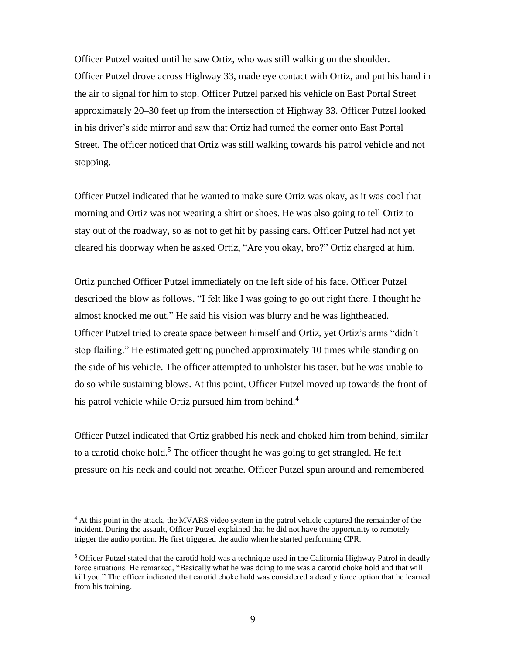Officer Putzel waited until he saw Ortiz, who was still walking on the shoulder. Officer Putzel drove across Highway 33, made eye contact with Ortiz, and put his hand in the air to signal for him to stop. Officer Putzel parked his vehicle on East Portal Street approximately 20–30 feet up from the intersection of Highway 33. Officer Putzel looked in his driver's side mirror and saw that Ortiz had turned the corner onto East Portal Street. The officer noticed that Ortiz was still walking towards his patrol vehicle and not stopping.

Officer Putzel indicated that he wanted to make sure Ortiz was okay, as it was cool that morning and Ortiz was not wearing a shirt or shoes. He was also going to tell Ortiz to stay out of the roadway, so as not to get hit by passing cars. Officer Putzel had not yet cleared his doorway when he asked Ortiz, "Are you okay, bro?" Ortiz charged at him.

Ortiz punched Officer Putzel immediately on the left side of his face. Officer Putzel described the blow as follows, "I felt like I was going to go out right there. I thought he almost knocked me out." He said his vision was blurry and he was lightheaded. Officer Putzel tried to create space between himself and Ortiz, yet Ortiz's arms "didn't stop flailing." He estimated getting punched approximately 10 times while standing on the side of his vehicle. The officer attempted to unholster his taser, but he was unable to do so while sustaining blows. At this point, Officer Putzel moved up towards the front of his patrol vehicle while Ortiz pursued him from behind.<sup>4</sup>

Officer Putzel indicated that Ortiz grabbed his neck and choked him from behind, similar to a carotid choke hold.<sup>5</sup> The officer thought he was going to get strangled. He felt pressure on his neck and could not breathe. Officer Putzel spun around and remembered

<sup>&</sup>lt;sup>4</sup> At this point in the attack, the MVARS video system in the patrol vehicle captured the remainder of the incident. During the assault, Officer Putzel explained that he did not have the opportunity to remotely trigger the audio portion. He first triggered the audio when he started performing CPR.

<sup>&</sup>lt;sup>5</sup> Officer Putzel stated that the carotid hold was a technique used in the California Highway Patrol in deadly force situations. He remarked, "Basically what he was doing to me was a carotid choke hold and that will kill you." The officer indicated that carotid choke hold was considered a deadly force option that he learned from his training.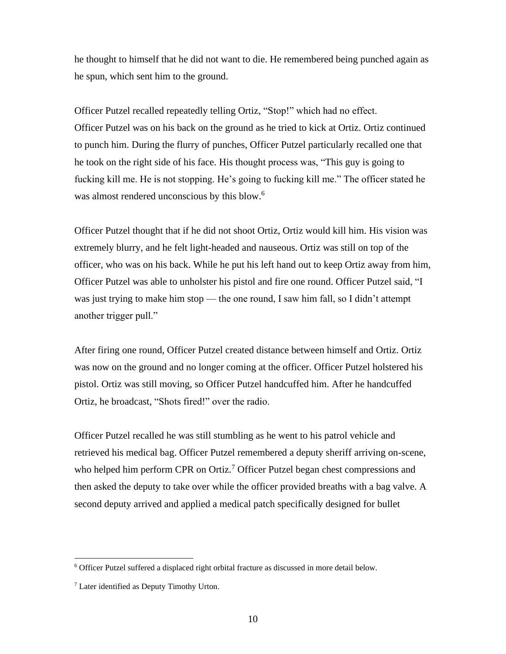he thought to himself that he did not want to die. He remembered being punched again as he spun, which sent him to the ground.

Officer Putzel recalled repeatedly telling Ortiz, "Stop!" which had no effect. Officer Putzel was on his back on the ground as he tried to kick at Ortiz. Ortiz continued to punch him. During the flurry of punches, Officer Putzel particularly recalled one that he took on the right side of his face. His thought process was, "This guy is going to fucking kill me. He is not stopping. He's going to fucking kill me." The officer stated he was almost rendered unconscious by this blow.<sup>6</sup>

Officer Putzel thought that if he did not shoot Ortiz, Ortiz would kill him. His vision was extremely blurry, and he felt light-headed and nauseous. Ortiz was still on top of the officer, who was on his back. While he put his left hand out to keep Ortiz away from him, Officer Putzel was able to unholster his pistol and fire one round. Officer Putzel said, "I was just trying to make him stop — the one round, I saw him fall, so I didn't attempt another trigger pull."

After firing one round, Officer Putzel created distance between himself and Ortiz. Ortiz was now on the ground and no longer coming at the officer. Officer Putzel holstered his pistol. Ortiz was still moving, so Officer Putzel handcuffed him. After he handcuffed Ortiz, he broadcast, "Shots fired!" over the radio.

Officer Putzel recalled he was still stumbling as he went to his patrol vehicle and retrieved his medical bag. Officer Putzel remembered a deputy sheriff arriving on-scene, who helped him perform CPR on Ortiz.<sup>7</sup> Officer Putzel began chest compressions and then asked the deputy to take over while the officer provided breaths with a bag valve. A second deputy arrived and applied a medical patch specifically designed for bullet

<sup>6</sup> Officer Putzel suffered a displaced right orbital fracture as discussed in more detail below.

<sup>7</sup> Later identified as Deputy Timothy Urton.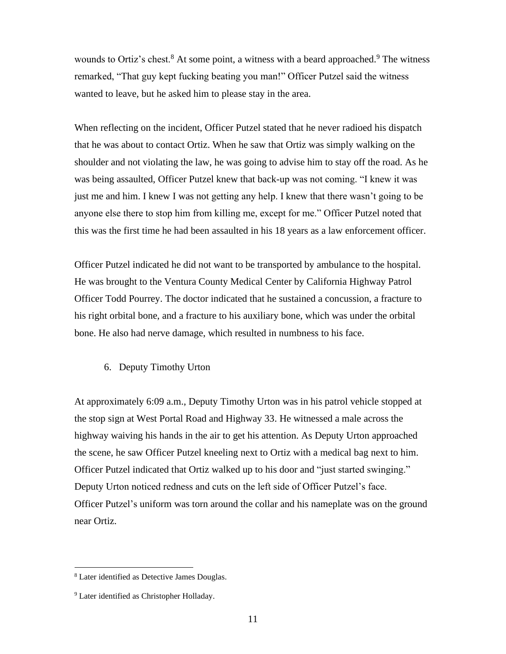wounds to Ortiz's chest.<sup>8</sup> At some point, a witness with a beard approached.<sup>9</sup> The witness remarked, "That guy kept fucking beating you man!" Officer Putzel said the witness wanted to leave, but he asked him to please stay in the area.

When reflecting on the incident, Officer Putzel stated that he never radioed his dispatch that he was about to contact Ortiz. When he saw that Ortiz was simply walking on the shoulder and not violating the law, he was going to advise him to stay off the road. As he was being assaulted, Officer Putzel knew that back-up was not coming. "I knew it was just me and him. I knew I was not getting any help. I knew that there wasn't going to be anyone else there to stop him from killing me, except for me." Officer Putzel noted that this was the first time he had been assaulted in his 18 years as a law enforcement officer.

Officer Putzel indicated he did not want to be transported by ambulance to the hospital. He was brought to the Ventura County Medical Center by California Highway Patrol Officer Todd Pourrey. The doctor indicated that he sustained a concussion, a fracture to his right orbital bone, and a fracture to his auxiliary bone, which was under the orbital bone. He also had nerve damage, which resulted in numbness to his face.

### 6. Deputy Timothy Urton

At approximately 6:09 a.m., Deputy Timothy Urton was in his patrol vehicle stopped at the stop sign at West Portal Road and Highway 33. He witnessed a male across the highway waiving his hands in the air to get his attention. As Deputy Urton approached the scene, he saw Officer Putzel kneeling next to Ortiz with a medical bag next to him. Officer Putzel indicated that Ortiz walked up to his door and "just started swinging." Deputy Urton noticed redness and cuts on the left side of Officer Putzel's face. Officer Putzel's uniform was torn around the collar and his nameplate was on the ground near Ortiz.

<sup>8</sup> Later identified as Detective James Douglas.

<sup>&</sup>lt;sup>9</sup> Later identified as Christopher Holladay.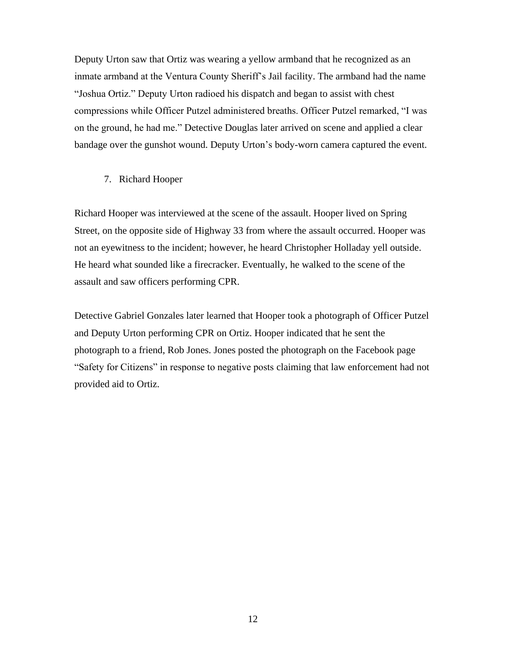Deputy Urton saw that Ortiz was wearing a yellow armband that he recognized as an inmate armband at the Ventura County Sheriff's Jail facility. The armband had the name "Joshua Ortiz." Deputy Urton radioed his dispatch and began to assist with chest compressions while Officer Putzel administered breaths. Officer Putzel remarked, "I was on the ground, he had me." Detective Douglas later arrived on scene and applied a clear bandage over the gunshot wound. Deputy Urton's body-worn camera captured the event.

### 7. Richard Hooper

Richard Hooper was interviewed at the scene of the assault. Hooper lived on Spring Street, on the opposite side of Highway 33 from where the assault occurred. Hooper was not an eyewitness to the incident; however, he heard Christopher Holladay yell outside. He heard what sounded like a firecracker. Eventually, he walked to the scene of the assault and saw officers performing CPR.

Detective Gabriel Gonzales later learned that Hooper took a photograph of Officer Putzel and Deputy Urton performing CPR on Ortiz. Hooper indicated that he sent the photograph to a friend, Rob Jones. Jones posted the photograph on the Facebook page "Safety for Citizens" in response to negative posts claiming that law enforcement had not provided aid to Ortiz.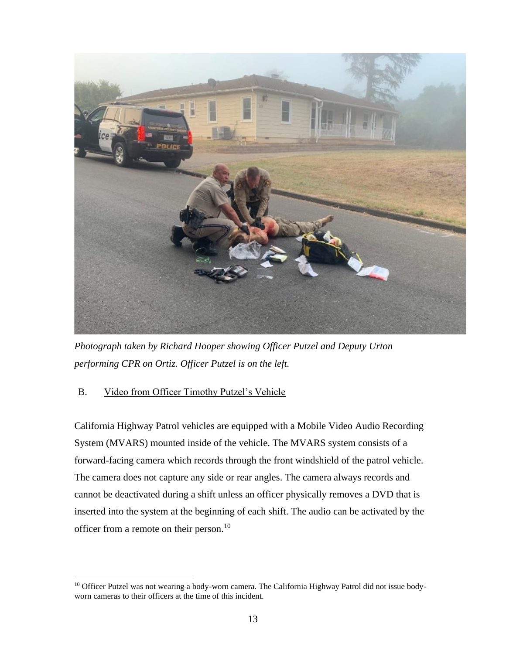

*Photograph taken by Richard Hooper showing Officer Putzel and Deputy Urton performing CPR on Ortiz. Officer Putzel is on the left.* 

## B. Video from Officer Timothy Putzel's Vehicle

California Highway Patrol vehicles are equipped with a Mobile Video Audio Recording System (MVARS) mounted inside of the vehicle. The MVARS system consists of a forward-facing camera which records through the front windshield of the patrol vehicle. The camera does not capture any side or rear angles. The camera always records and cannot be deactivated during a shift unless an officer physically removes a DVD that is inserted into the system at the beginning of each shift. The audio can be activated by the officer from a remote on their person.<sup>10</sup>

<sup>&</sup>lt;sup>10</sup> Officer Putzel was not wearing a body-worn camera. The California Highway Patrol did not issue bodyworn cameras to their officers at the time of this incident.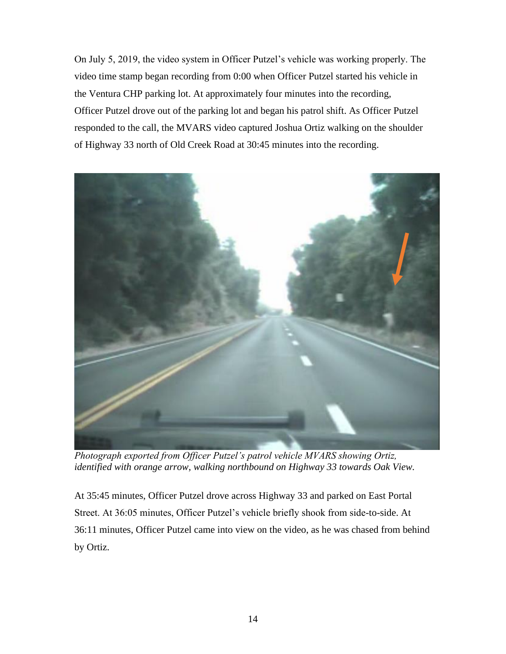On July 5, 2019, the video system in Officer Putzel's vehicle was working properly. The video time stamp began recording from 0:00 when Officer Putzel started his vehicle in the Ventura CHP parking lot. At approximately four minutes into the recording, Officer Putzel drove out of the parking lot and began his patrol shift. As Officer Putzel responded to the call, the MVARS video captured Joshua Ortiz walking on the shoulder of Highway 33 north of Old Creek Road at 30:45 minutes into the recording.



*Photograph exported from Officer Putzel's patrol vehicle MVARS showing Ortiz, identified with orange arrow, walking northbound on Highway 33 towards Oak View.* 

At 35:45 minutes, Officer Putzel drove across Highway 33 and parked on East Portal Street. At 36:05 minutes, Officer Putzel's vehicle briefly shook from side-to-side. At 36:11 minutes, Officer Putzel came into view on the video, as he was chased from behind by Ortiz.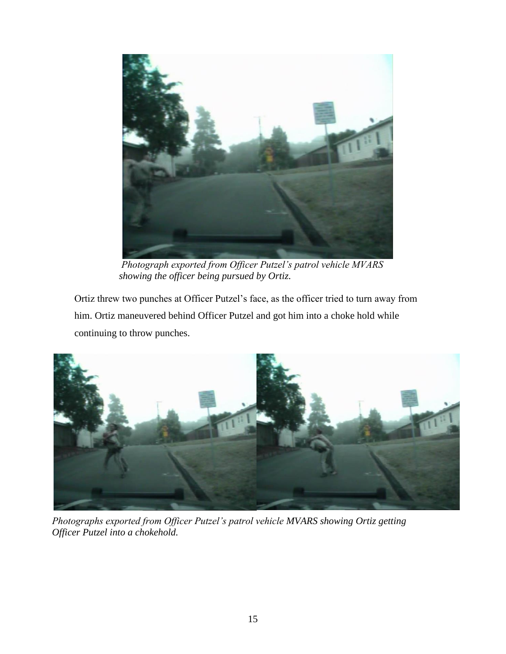

 *Photograph exported from Officer Putzel's patrol vehicle MVARS showing the officer being pursued by Ortiz.*

Ortiz threw two punches at Officer Putzel's face, as the officer tried to turn away from him. Ortiz maneuvered behind Officer Putzel and got him into a choke hold while continuing to throw punches.



*Photographs exported from Officer Putzel's patrol vehicle MVARS showing Ortiz getting Officer Putzel into a chokehold.*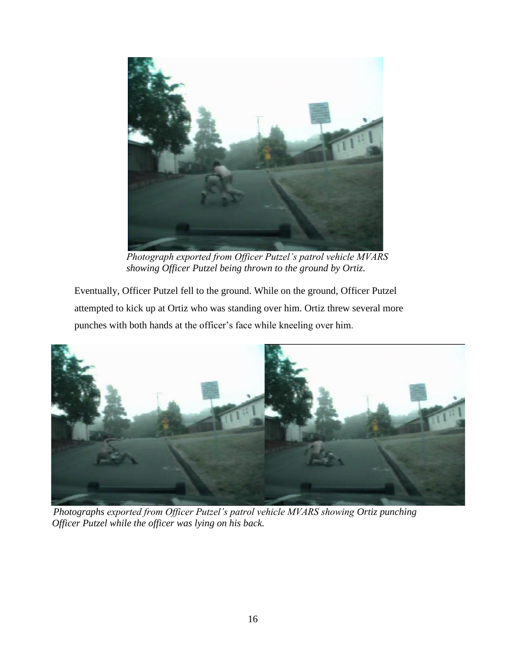

*Photograph exported from Officer Putzel's patrol vehicle MVARS showing Officer Putzel being thrown to the ground by Ortiz.* 

Eventually, Officer Putzel fell to the ground. While on the ground, Officer Putzel attempted to kick up at Ortiz who was standing over him. Ortiz threw several more punches with both hands at the officer's face while kneeling over him.



 *Photographs exported from Officer Putzel's patrol vehicle MVARS showing Ortiz punching Officer Putzel while the officer was lying on his back.*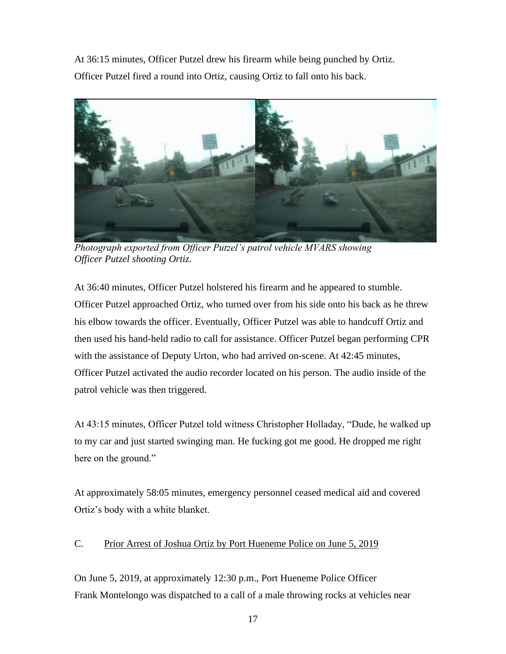At 36:15 minutes, Officer Putzel drew his firearm while being punched by Ortiz. Officer Putzel fired a round into Ortiz, causing Ortiz to fall onto his back.



*Photograph exported from Officer Putzel's patrol vehicle MVARS showing Officer Putzel shooting Ortiz.*

At 36:40 minutes, Officer Putzel holstered his firearm and he appeared to stumble. Officer Putzel approached Ortiz, who turned over from his side onto his back as he threw his elbow towards the officer. Eventually, Officer Putzel was able to handcuff Ortiz and then used his hand-held radio to call for assistance. Officer Putzel began performing CPR with the assistance of Deputy Urton, who had arrived on-scene. At 42:45 minutes, Officer Putzel activated the audio recorder located on his person. The audio inside of the patrol vehicle was then triggered.

At 43:15 minutes, Officer Putzel told witness Christopher Holladay, "Dude, he walked up to my car and just started swinging man. He fucking got me good. He dropped me right here on the ground."

At approximately 58:05 minutes, emergency personnel ceased medical aid and covered Ortiz's body with a white blanket.

## C. Prior Arrest of Joshua Ortiz by Port Hueneme Police on June 5, 2019

On June 5, 2019, at approximately 12:30 p.m., Port Hueneme Police Officer Frank Montelongo was dispatched to a call of a male throwing rocks at vehicles near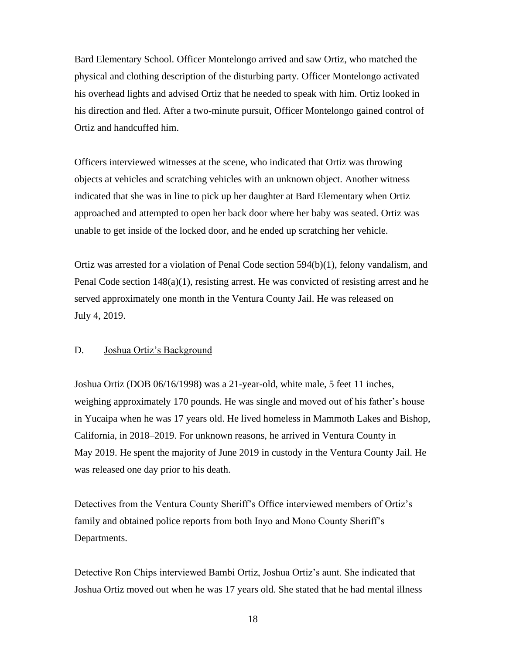Bard Elementary School. Officer Montelongo arrived and saw Ortiz, who matched the physical and clothing description of the disturbing party. Officer Montelongo activated his overhead lights and advised Ortiz that he needed to speak with him. Ortiz looked in his direction and fled. After a two-minute pursuit, Officer Montelongo gained control of Ortiz and handcuffed him.

Officers interviewed witnesses at the scene, who indicated that Ortiz was throwing objects at vehicles and scratching vehicles with an unknown object. Another witness indicated that she was in line to pick up her daughter at Bard Elementary when Ortiz approached and attempted to open her back door where her baby was seated. Ortiz was unable to get inside of the locked door, and he ended up scratching her vehicle.

Ortiz was arrested for a violation of Penal Code section 594(b)(1), felony vandalism, and Penal Code section 148(a)(1), resisting arrest. He was convicted of resisting arrest and he served approximately one month in the Ventura County Jail. He was released on July 4, 2019.

## D. Joshua Ortiz's Background

Joshua Ortiz (DOB 06/16/1998) was a 21-year-old, white male, 5 feet 11 inches, weighing approximately 170 pounds. He was single and moved out of his father's house in Yucaipa when he was 17 years old. He lived homeless in Mammoth Lakes and Bishop, California, in 2018–2019. For unknown reasons, he arrived in Ventura County in May 2019. He spent the majority of June 2019 in custody in the Ventura County Jail. He was released one day prior to his death.

Detectives from the Ventura County Sheriff's Office interviewed members of Ortiz's family and obtained police reports from both Inyo and Mono County Sheriff's Departments.

Detective Ron Chips interviewed Bambi Ortiz, Joshua Ortiz's aunt. She indicated that Joshua Ortiz moved out when he was 17 years old. She stated that he had mental illness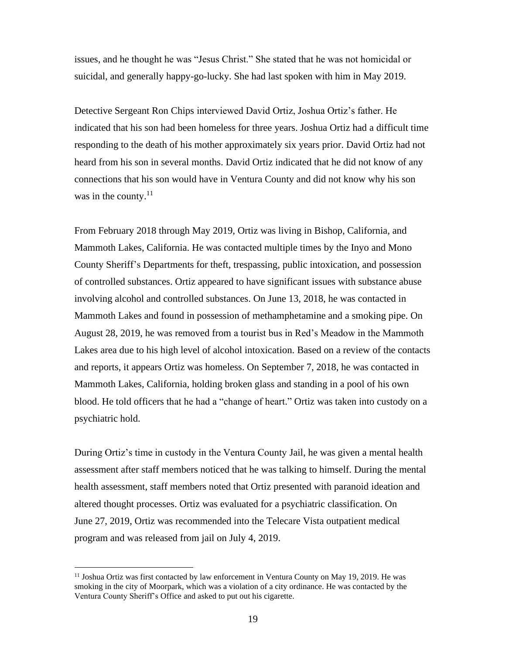issues, and he thought he was "Jesus Christ." She stated that he was not homicidal or suicidal, and generally happy-go-lucky. She had last spoken with him in May 2019.

Detective Sergeant Ron Chips interviewed David Ortiz, Joshua Ortiz's father. He indicated that his son had been homeless for three years. Joshua Ortiz had a difficult time responding to the death of his mother approximately six years prior. David Ortiz had not heard from his son in several months. David Ortiz indicated that he did not know of any connections that his son would have in Ventura County and did not know why his son was in the county.<sup>11</sup>

From February 2018 through May 2019, Ortiz was living in Bishop, California, and Mammoth Lakes, California. He was contacted multiple times by the Inyo and Mono County Sheriff's Departments for theft, trespassing, public intoxication, and possession of controlled substances. Ortiz appeared to have significant issues with substance abuse involving alcohol and controlled substances. On June 13, 2018, he was contacted in Mammoth Lakes and found in possession of methamphetamine and a smoking pipe. On August 28, 2019, he was removed from a tourist bus in Red's Meadow in the Mammoth Lakes area due to his high level of alcohol intoxication. Based on a review of the contacts and reports, it appears Ortiz was homeless. On September 7, 2018, he was contacted in Mammoth Lakes, California, holding broken glass and standing in a pool of his own blood. He told officers that he had a "change of heart." Ortiz was taken into custody on a psychiatric hold.

During Ortiz's time in custody in the Ventura County Jail, he was given a mental health assessment after staff members noticed that he was talking to himself. During the mental health assessment, staff members noted that Ortiz presented with paranoid ideation and altered thought processes. Ortiz was evaluated for a psychiatric classification. On June 27, 2019, Ortiz was recommended into the Telecare Vista outpatient medical program and was released from jail on July 4, 2019.

<sup>&</sup>lt;sup>11</sup> Joshua Ortiz was first contacted by law enforcement in Ventura County on May 19, 2019. He was smoking in the city of Moorpark, which was a violation of a city ordinance. He was contacted by the Ventura County Sheriff's Office and asked to put out his cigarette.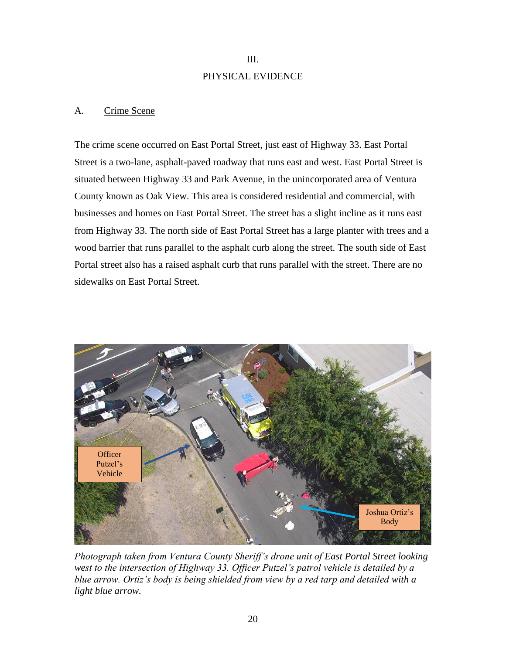## III. PHYSICAL EVIDENCE

## A. Crime Scene

The crime scene occurred on East Portal Street, just east of Highway 33. East Portal Street is a two-lane, asphalt-paved roadway that runs east and west. East Portal Street is situated between Highway 33 and Park Avenue, in the unincorporated area of Ventura County known as Oak View. This area is considered residential and commercial, with businesses and homes on East Portal Street. The street has a slight incline as it runs east from Highway 33. The north side of East Portal Street has a large planter with trees and a wood barrier that runs parallel to the asphalt curb along the street. The south side of East Portal street also has a raised asphalt curb that runs parallel with the street. There are no sidewalks on East Portal Street.



*Photograph taken from Ventura County Sheriff's drone unit of East Portal Street looking west to the intersection of Highway 33. Officer Putzel's patrol vehicle is detailed by a blue arrow. Ortiz's body is being shielded from view by a red tarp and detailed with a light blue arrow.*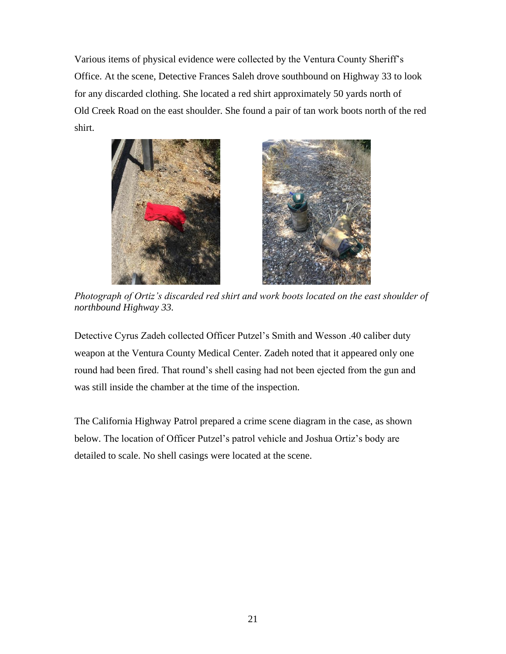Various items of physical evidence were collected by the Ventura County Sheriff's Office. At the scene, Detective Frances Saleh drove southbound on Highway 33 to look for any discarded clothing. She located a red shirt approximately 50 yards north of Old Creek Road on the east shoulder. She found a pair of tan work boots north of the red shirt.





*Photograph of Ortiz's discarded red shirt and work boots located on the east shoulder of northbound Highway 33.* 

Detective Cyrus Zadeh collected Officer Putzel's Smith and Wesson .40 caliber duty weapon at the Ventura County Medical Center. Zadeh noted that it appeared only one round had been fired. That round's shell casing had not been ejected from the gun and was still inside the chamber at the time of the inspection.

The California Highway Patrol prepared a crime scene diagram in the case, as shown below. The location of Officer Putzel's patrol vehicle and Joshua Ortiz's body are detailed to scale. No shell casings were located at the scene.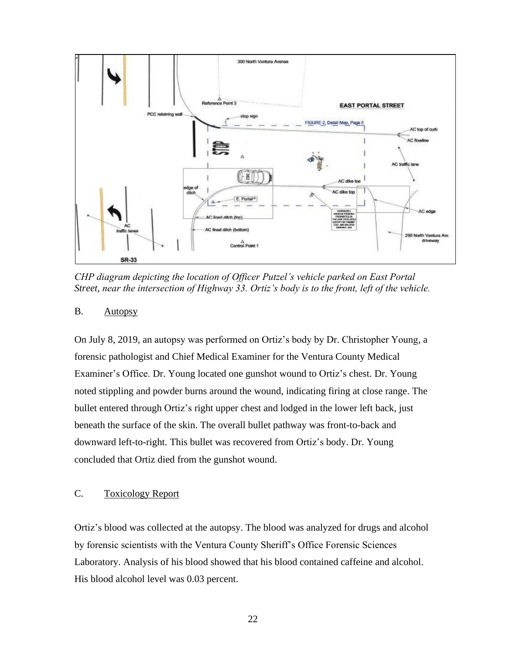

*CHP diagram depicting the location of Officer Putzel's vehicle parked on East Portal Street, near the intersection of Highway 33. Ortiz's body is to the front, left of the vehicle.* 

## B. Autopsy

On July 8, 2019, an autopsy was performed on Ortiz's body by Dr. Christopher Young, a forensic pathologist and Chief Medical Examiner for the Ventura County Medical Examiner's Office. Dr. Young located one gunshot wound to Ortiz's chest. Dr. Young noted stippling and powder burns around the wound, indicating firing at close range. The bullet entered through Ortiz's right upper chest and lodged in the lower left back, just beneath the surface of the skin. The overall bullet pathway was front-to-back and downward left-to-right. This bullet was recovered from Ortiz's body. Dr. Young concluded that Ortiz died from the gunshot wound.

## C. Toxicology Report

Ortiz's blood was collected at the autopsy. The blood was analyzed for drugs and alcohol by forensic scientists with the Ventura County Sheriff's Office Forensic Sciences Laboratory. Analysis of his blood showed that his blood contained caffeine and alcohol. His blood alcohol level was 0.03 percent.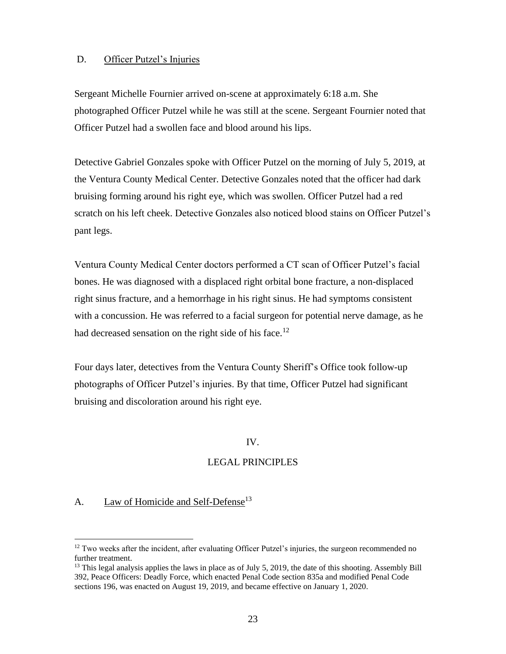### D. Officer Putzel's Injuries

Sergeant Michelle Fournier arrived on-scene at approximately 6:18 a.m. She photographed Officer Putzel while he was still at the scene. Sergeant Fournier noted that Officer Putzel had a swollen face and blood around his lips.

Detective Gabriel Gonzales spoke with Officer Putzel on the morning of July 5, 2019, at the Ventura County Medical Center. Detective Gonzales noted that the officer had dark bruising forming around his right eye, which was swollen. Officer Putzel had a red scratch on his left cheek. Detective Gonzales also noticed blood stains on Officer Putzel's pant legs.

Ventura County Medical Center doctors performed a CT scan of Officer Putzel's facial bones. He was diagnosed with a displaced right orbital bone fracture, a non-displaced right sinus fracture, and a hemorrhage in his right sinus. He had symptoms consistent with a concussion. He was referred to a facial surgeon for potential nerve damage, as he had decreased sensation on the right side of his face.<sup>12</sup>

Four days later, detectives from the Ventura County Sheriff's Office took follow-up photographs of Officer Putzel's injuries. By that time, Officer Putzel had significant bruising and discoloration around his right eye.

## IV.

## LEGAL PRINCIPLES

## A. Law of Homicide and Self-Defense<sup>13</sup>

 $12$  Two weeks after the incident, after evaluating Officer Putzel's injuries, the surgeon recommended no further treatment.

<sup>&</sup>lt;sup>13</sup> This legal analysis applies the laws in place as of July 5, 2019, the date of this shooting. Assembly Bill 392, Peace Officers: Deadly Force, which enacted Penal Code section 835a and modified Penal Code sections 196, was enacted on August 19, 2019, and became effective on January 1, 2020.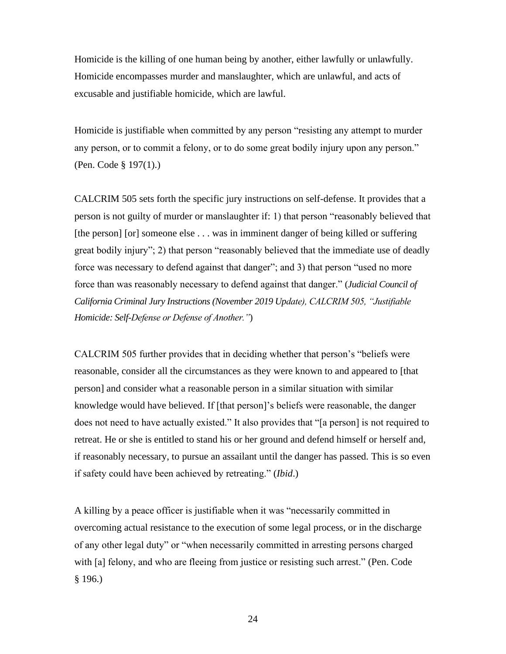Homicide is the killing of one human being by another, either lawfully or unlawfully. Homicide encompasses murder and manslaughter, which are unlawful, and acts of excusable and justifiable homicide, which are lawful.

Homicide is justifiable when committed by any person "resisting any attempt to murder any person, or to commit a felony, or to do some great bodily injury upon any person." (Pen. Code § 197(1).)

CALCRIM 505 sets forth the specific jury instructions on self-defense. It provides that a person is not guilty of murder or manslaughter if: 1) that person "reasonably believed that [the person] [or] someone else . . . was in imminent danger of being killed or suffering great bodily injury"; 2) that person "reasonably believed that the immediate use of deadly force was necessary to defend against that danger"; and 3) that person "used no more force than was reasonably necessary to defend against that danger." (*Judicial Council of California Criminal Jury Instructions (November 2019 Update), CALCRIM 505, "Justifiable Homicide: Self-Defense or Defense of Another."*)

CALCRIM 505 further provides that in deciding whether that person's "beliefs were reasonable, consider all the circumstances as they were known to and appeared to [that person] and consider what a reasonable person in a similar situation with similar knowledge would have believed. If [that person]'s beliefs were reasonable, the danger does not need to have actually existed." It also provides that "[a person] is not required to retreat. He or she is entitled to stand his or her ground and defend himself or herself and, if reasonably necessary, to pursue an assailant until the danger has passed. This is so even if safety could have been achieved by retreating." (*Ibid*.)

A killing by a peace officer is justifiable when it was "necessarily committed in overcoming actual resistance to the execution of some legal process, or in the discharge of any other legal duty" or "when necessarily committed in arresting persons charged with [a] felony, and who are fleeing from justice or resisting such arrest." (Pen. Code § 196.)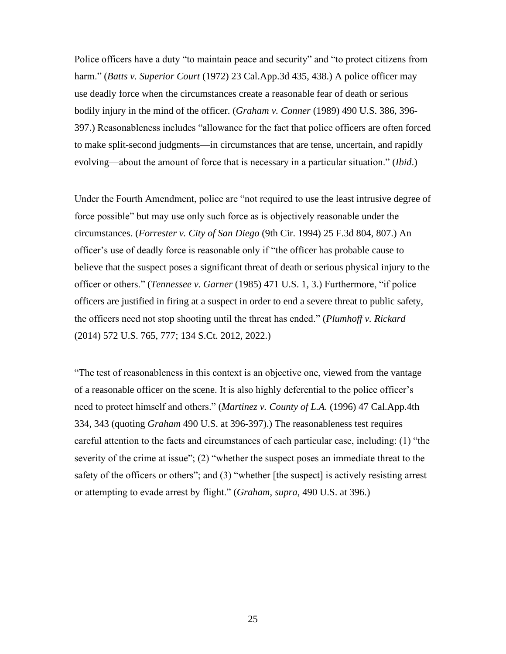Police officers have a duty "to maintain peace and security" and "to protect citizens from harm." (*Batts v. Superior Court* (1972) 23 Cal.App.3d 435, 438.) A police officer may use deadly force when the circumstances create a reasonable fear of death or serious bodily injury in the mind of the officer. (*Graham v. Conner* (1989) 490 U.S. 386, 396- 397.) Reasonableness includes "allowance for the fact that police officers are often forced to make split-second judgments—in circumstances that are tense, uncertain, and rapidly evolving—about the amount of force that is necessary in a particular situation." (*Ibid*.)

Under the Fourth Amendment, police are "not required to use the least intrusive degree of force possible" but may use only such force as is objectively reasonable under the circumstances. (*Forrester v. City of San Diego* (9th Cir. 1994) 25 F.3d 804, 807.) An officer's use of deadly force is reasonable only if "the officer has probable cause to believe that the suspect poses a significant threat of death or serious physical injury to the officer or others." (*Tennessee v. Garner* (1985) 471 U.S. 1, 3.) Furthermore, "if police officers are justified in firing at a suspect in order to end a severe threat to public safety, the officers need not stop shooting until the threat has ended." (*Plumhoff v. Rickard* (2014) 572 U.S. 765, 777; 134 S.Ct. 2012, 2022.)

"The test of reasonableness in this context is an objective one, viewed from the vantage of a reasonable officer on the scene. It is also highly deferential to the police officer's need to protect himself and others." (*Martinez v. County of L.A.* (1996) 47 Cal.App.4th 334, 343 (quoting *Graham* 490 U.S. at 396-397).) The reasonableness test requires careful attention to the facts and circumstances of each particular case, including: (1) "the severity of the crime at issue"; (2) "whether the suspect poses an immediate threat to the safety of the officers or others"; and (3) "whether [the suspect] is actively resisting arrest or attempting to evade arrest by flight." (*Graham*, *supra*, 490 U.S. at 396.)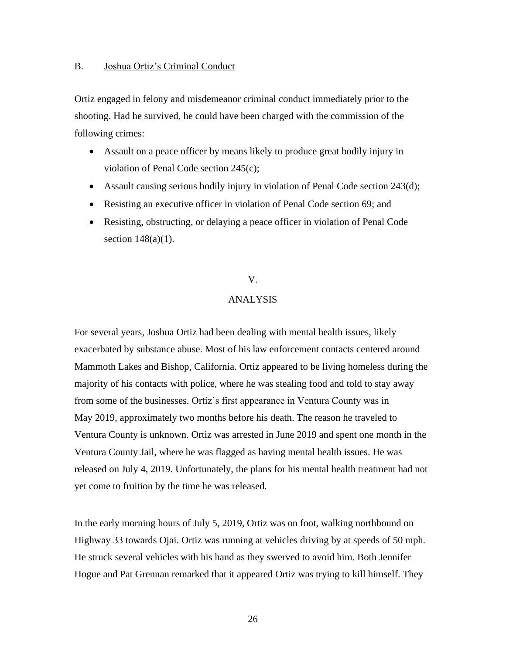#### B. Joshua Ortiz's Criminal Conduct

Ortiz engaged in felony and misdemeanor criminal conduct immediately prior to the shooting. Had he survived, he could have been charged with the commission of the following crimes:

- Assault on a peace officer by means likely to produce great bodily injury in violation of Penal Code section 245(c);
- Assault causing serious bodily injury in violation of Penal Code section 243(d);
- Resisting an executive officer in violation of Penal Code section 69; and
- Resisting, obstructing, or delaying a peace officer in violation of Penal Code section  $148(a)(1)$ .

### V.

## ANALYSIS

For several years, Joshua Ortiz had been dealing with mental health issues, likely exacerbated by substance abuse. Most of his law enforcement contacts centered around Mammoth Lakes and Bishop, California. Ortiz appeared to be living homeless during the majority of his contacts with police, where he was stealing food and told to stay away from some of the businesses. Ortiz's first appearance in Ventura County was in May 2019, approximately two months before his death. The reason he traveled to Ventura County is unknown. Ortiz was arrested in June 2019 and spent one month in the Ventura County Jail, where he was flagged as having mental health issues. He was released on July 4, 2019. Unfortunately, the plans for his mental health treatment had not yet come to fruition by the time he was released.

In the early morning hours of July 5, 2019, Ortiz was on foot, walking northbound on Highway 33 towards Ojai. Ortiz was running at vehicles driving by at speeds of 50 mph. He struck several vehicles with his hand as they swerved to avoid him. Both Jennifer Hogue and Pat Grennan remarked that it appeared Ortiz was trying to kill himself. They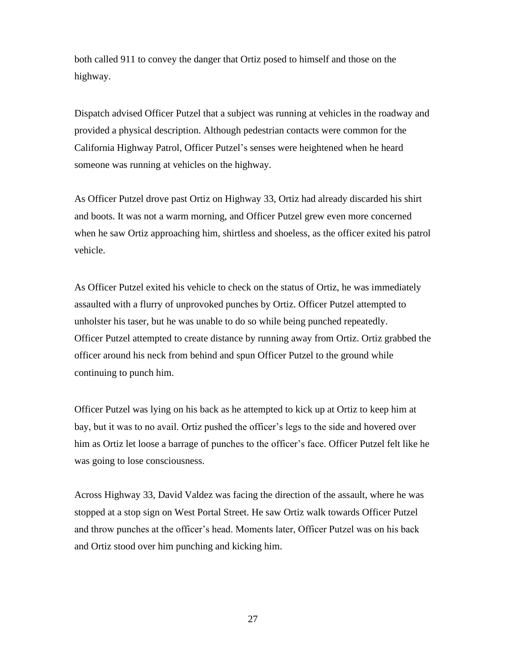both called 911 to convey the danger that Ortiz posed to himself and those on the highway.

Dispatch advised Officer Putzel that a subject was running at vehicles in the roadway and provided a physical description. Although pedestrian contacts were common for the California Highway Patrol, Officer Putzel's senses were heightened when he heard someone was running at vehicles on the highway.

As Officer Putzel drove past Ortiz on Highway 33, Ortiz had already discarded his shirt and boots. It was not a warm morning, and Officer Putzel grew even more concerned when he saw Ortiz approaching him, shirtless and shoeless, as the officer exited his patrol vehicle.

As Officer Putzel exited his vehicle to check on the status of Ortiz, he was immediately assaulted with a flurry of unprovoked punches by Ortiz. Officer Putzel attempted to unholster his taser, but he was unable to do so while being punched repeatedly. Officer Putzel attempted to create distance by running away from Ortiz. Ortiz grabbed the officer around his neck from behind and spun Officer Putzel to the ground while continuing to punch him.

Officer Putzel was lying on his back as he attempted to kick up at Ortiz to keep him at bay, but it was to no avail. Ortiz pushed the officer's legs to the side and hovered over him as Ortiz let loose a barrage of punches to the officer's face. Officer Putzel felt like he was going to lose consciousness.

Across Highway 33, David Valdez was facing the direction of the assault, where he was stopped at a stop sign on West Portal Street. He saw Ortiz walk towards Officer Putzel and throw punches at the officer's head. Moments later, Officer Putzel was on his back and Ortiz stood over him punching and kicking him.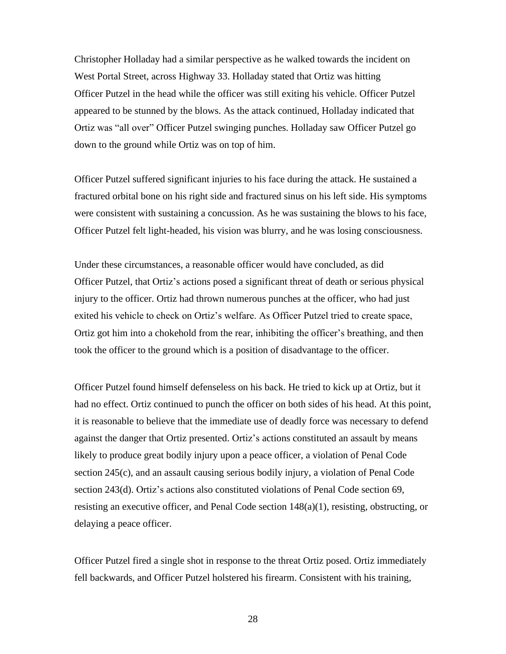Christopher Holladay had a similar perspective as he walked towards the incident on West Portal Street, across Highway 33. Holladay stated that Ortiz was hitting Officer Putzel in the head while the officer was still exiting his vehicle. Officer Putzel appeared to be stunned by the blows. As the attack continued, Holladay indicated that Ortiz was "all over" Officer Putzel swinging punches. Holladay saw Officer Putzel go down to the ground while Ortiz was on top of him.

Officer Putzel suffered significant injuries to his face during the attack. He sustained a fractured orbital bone on his right side and fractured sinus on his left side. His symptoms were consistent with sustaining a concussion. As he was sustaining the blows to his face, Officer Putzel felt light-headed, his vision was blurry, and he was losing consciousness.

Under these circumstances, a reasonable officer would have concluded, as did Officer Putzel, that Ortiz's actions posed a significant threat of death or serious physical injury to the officer. Ortiz had thrown numerous punches at the officer, who had just exited his vehicle to check on Ortiz's welfare. As Officer Putzel tried to create space, Ortiz got him into a chokehold from the rear, inhibiting the officer's breathing, and then took the officer to the ground which is a position of disadvantage to the officer.

Officer Putzel found himself defenseless on his back. He tried to kick up at Ortiz, but it had no effect. Ortiz continued to punch the officer on both sides of his head. At this point, it is reasonable to believe that the immediate use of deadly force was necessary to defend against the danger that Ortiz presented. Ortiz's actions constituted an assault by means likely to produce great bodily injury upon a peace officer, a violation of Penal Code section 245(c), and an assault causing serious bodily injury, a violation of Penal Code section 243(d). Ortiz's actions also constituted violations of Penal Code section 69, resisting an executive officer, and Penal Code section 148(a)(1), resisting, obstructing, or delaying a peace officer.

Officer Putzel fired a single shot in response to the threat Ortiz posed. Ortiz immediately fell backwards, and Officer Putzel holstered his firearm. Consistent with his training,

28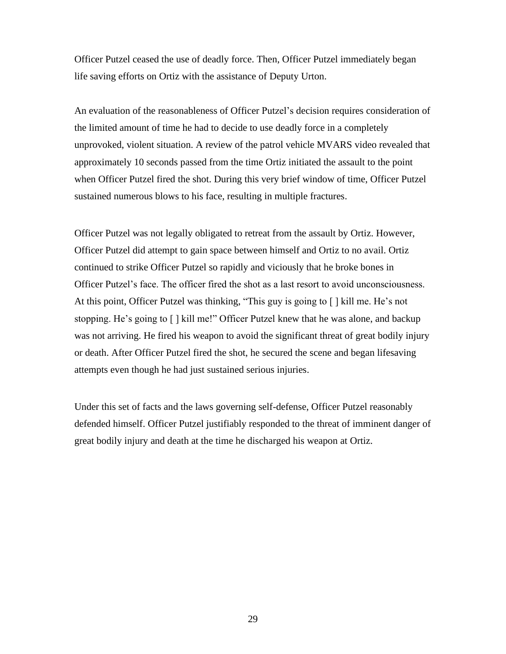Officer Putzel ceased the use of deadly force. Then, Officer Putzel immediately began life saving efforts on Ortiz with the assistance of Deputy Urton.

An evaluation of the reasonableness of Officer Putzel's decision requires consideration of the limited amount of time he had to decide to use deadly force in a completely unprovoked, violent situation. A review of the patrol vehicle MVARS video revealed that approximately 10 seconds passed from the time Ortiz initiated the assault to the point when Officer Putzel fired the shot. During this very brief window of time, Officer Putzel sustained numerous blows to his face, resulting in multiple fractures.

Officer Putzel was not legally obligated to retreat from the assault by Ortiz. However, Officer Putzel did attempt to gain space between himself and Ortiz to no avail. Ortiz continued to strike Officer Putzel so rapidly and viciously that he broke bones in Officer Putzel's face. The officer fired the shot as a last resort to avoid unconsciousness. At this point, Officer Putzel was thinking, "This guy is going to [ ] kill me. He's not stopping. He's going to [ ] kill me!" Officer Putzel knew that he was alone, and backup was not arriving. He fired his weapon to avoid the significant threat of great bodily injury or death. After Officer Putzel fired the shot, he secured the scene and began lifesaving attempts even though he had just sustained serious injuries.

Under this set of facts and the laws governing self-defense, Officer Putzel reasonably defended himself. Officer Putzel justifiably responded to the threat of imminent danger of great bodily injury and death at the time he discharged his weapon at Ortiz.